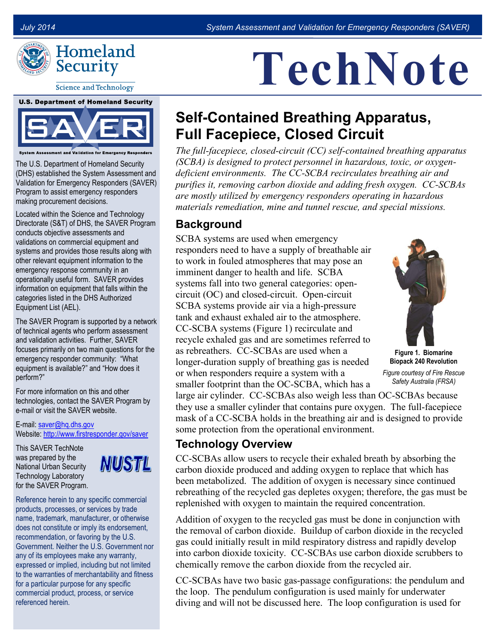

**Science and Technology** 

**U.S. Department of Homeland Security** 



System Assessment and Validation for Emergency Responders

The U.S. Department of Homeland Security (DHS) established the System Assessment and Validation for Emergency Responders (SAVER) Program to assist emergency responders making procurement decisions.

Located within the Science and Technology Directorate (S&T) of DHS, the SAVER Program conducts objective assessments and validations on commercial equipment and systems and provides those results along with other relevant equipment information to the emergency response community in an operationally useful form. SAVER provides information on equipment that falls within the categories listed in the DHS Authorized Equipment List (AEL).

The SAVER Program is supported by a network of technical agents who perform assessment and validation activities. Further, SAVER focuses primarily on two main questions for the emergency responder community: "What equipment is available?" and "How does it perform?"

For more information on this and other technologies, contact the SAVER Program by e-mail or visit the SAVER website.

E-mail: [saver@hq.dhs.gov](mailto:saver@hq.dhs.gov) Website[: http://www.firstresponder.gov/saver](http://www.firstresponder.gov/saver)

This SAVER TechNote was prepared by the National Urban Security Technology Laboratory for the SAVER Program.



Reference herein to any specific commercial products, processes, or services by trade name, trademark, manufacturer, or otherwise does not constitute or imply its endorsement, recommendation, or favoring by the U.S. Government. Neither the U.S. Government nor any of its employees make any warranty, expressed or implied, including but not limited to the warranties of merchantability and fitness for a particular purpose for any specific commercial product, process, or service referenced herein.

# **TechNote**

# **Self-Contained Breathing Apparatus, Full Facepiece, Closed Circuit**

*The full-facepiece, closed-circuit (CC) self-contained breathing apparatus (SCBA) is designed to protect personnel in hazardous, toxic, or oxygendeficient environments. The CC-SCBA recirculates breathing air and purifies it, removing carbon dioxide and adding fresh oxygen. CC-SCBAs are mostly utilized by emergency responders operating in hazardous materials remediation, mine and tunnel rescue, and special missions.* 

### **Background**

SCBA systems are used when emergency responders need to have a supply of breathable air to work in fouled atmospheres that may pose an imminent danger to health and life. SCBA systems fall into two general categories: opencircuit (OC) and closed-circuit. Open-circuit SCBA systems provide air via a high-pressure tank and exhaust exhaled air to the atmosphere. CC-SCBA systems (Figure 1) recirculate and recycle exhaled gas and are sometimes referred to as rebreathers. CC-SCBAs are used when a longer-duration supply of breathing gas is needed or when responders require a system with a smaller footprint than the OC-SCBA, which has a



**Figure 1. Biomarine Biopack 240 Revolution**

*Figure courtesy of Fire Rescue Safety Australia (FRSA)*

large air cylinder. CC-SCBAs also weigh less than OC-SCBAs because they use a smaller cylinder that contains pure oxygen. The full-facepiece mask of a CC-SCBA holds in the breathing air and is designed to provide some protection from the operational environment.

## **Technology Overview**

CC-SCBAs allow users to recycle their exhaled breath by absorbing the carbon dioxide produced and adding oxygen to replace that which has been metabolized. The addition of oxygen is necessary since continued rebreathing of the recycled gas depletes oxygen; therefore, the gas must be replenished with oxygen to maintain the required concentration.

Addition of oxygen to the recycled gas must be done in conjunction with the removal of carbon dioxide. Buildup of carbon dioxide in the recycled gas could initially result in mild respiratory distress and rapidly develop into carbon dioxide toxicity. CC-SCBAs use carbon dioxide scrubbers to chemically remove the carbon dioxide from the recycled air.

CC-SCBAs have two basic gas-passage configurations: the pendulum and the loop. The pendulum configuration is used mainly for underwater diving and will not be discussed here. The loop configuration is used for